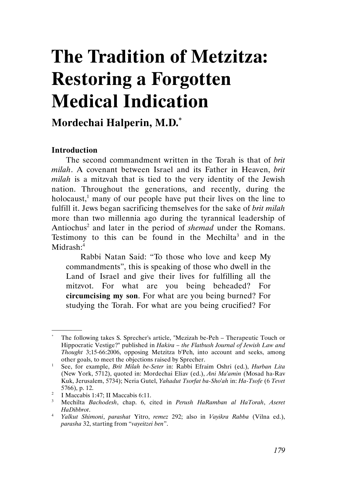# The Tradition of Metzitza: Restoring a Forgotten Medical Indication

# Mordechai Halperin, M.D.\*

# **Introduction**

.

The second commandment written in the Torah is that of *brit* milah. A covenant between Israel and its Father in Heaven, brit milah is a mitzvah that is tied to the very identity of the Jewish nation. Throughout the generations, and recently, during the holocaust,<sup>1</sup> many of our people have put their lives on the line to fulfill it. Jews began sacrificing themselves for the sake of *brit milah* more than two millennia ago during the tyrannical leadership of Antiochus<sup>2</sup> and later in the period of *shemad* under the Romans. Testimony to this can be found in the Mechilta<sup>3</sup> and in the Midrash:<sup>4</sup>

Rabbi Natan Said: "To those who love and keep My commandments", this is speaking of those who dwell in the Land of Israel and give their lives for fulfilling all the mitzvot. For what are you being beheaded? For circumcising my son. For what are you being burned? For studying the Torah. For what are you being crucified? For

<sup>\*</sup> The following takes S. Sprecher's article, "Mezizah be-Peh – Therapeutic Touch or Hippocratic Vestige?" published in Hakira - the Flatbush Journal of Jewish Law and Thought 3;15-66:2006, opposing Metzitza b'Peh, into account and seeks, among other goals, to meet the objections raised by Sprecher.

<sup>1</sup> See, for example, *Brit Milah be-Seter* in: Rabbi Efraim Oshri (ed.), *Hurban Lita* (New York, 5712), quoted in: Mordechai Eliav (ed.), Ani Ma'amin (Mosad ha-Rav Kuk, Jerusalem, 5734); Neria Gutel, Yahadut Tsorfat ba-Sho'ah in: Ha-Tsofe (6 Tevet 5766), p. 12.

<sup>&</sup>lt;sup>2</sup> I Maccabis 1:47; II Maccabis 6:11.

<sup>&</sup>lt;sup>3</sup> Mechilta Bachodesh, chap. 6, cited in Perush HaRamban al HaTorah, Aseret HaDibbrot.

<sup>&</sup>lt;sup>4</sup> Yalkut Shimoni, parashat Yitro, remez 292; also in Vayikra Rabba (Vilna ed.), parasha 32, starting from "vayeitzei ben".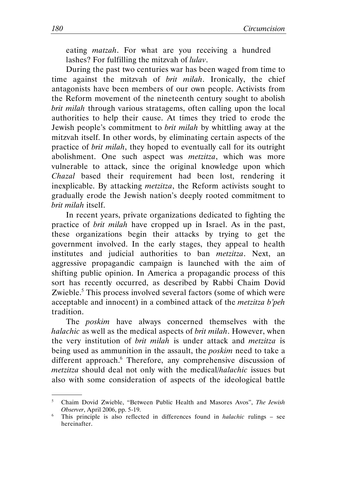eating *matzah*. For what are you receiving a hundred lashes? For fulfilling the mitzvah of lulav.

During the past two centuries war has been waged from time to time against the mitzvah of *brit milah*. Ironically, the chief antagonists have been members of our own people. Activists from the Reform movement of the nineteenth century sought to abolish brit milah through various stratagems, often calling upon the local authorities to help their cause. At times they tried to erode the Jewish people's commitment to brit milah by whittling away at the mitzvah itself. In other words, by eliminating certain aspects of the practice of brit milah, they hoped to eventually call for its outright abolishment. One such aspect was *metzitza*, which was more vulnerable to attack, since the original knowledge upon which Chazal based their requirement had been lost, rendering it inexplicable. By attacking metzitza, the Reform activists sought to gradually erode the Jewish nation's deeply rooted commitment to brit milah itself.

In recent years, private organizations dedicated to fighting the practice of brit milah have cropped up in Israel. As in the past, these organizations begin their attacks by trying to get the government involved. In the early stages, they appeal to health institutes and judicial authorities to ban *metzitza*. Next, an aggressive propagandic campaign is launched with the aim of shifting public opinion. In America a propagandic process of this sort has recently occurred, as described by Rabbi Chaim Dovid Zwieble.<sup>5</sup> This process involved several factors (some of which were acceptable and innocent) in a combined attack of the metzitza b'peh tradition.

The poskim have always concerned themselves with the halachic as well as the medical aspects of brit milah. However, when the very institution of brit milah is under attack and metzitza is being used as ammunition in the assault, the *poskim* need to take a different approach.<sup>6</sup> Therefore, any comprehensive discussion of metzitza should deal not only with the medical/halachic issues but also with some consideration of aspects of the ideological battle

<sup>5</sup> Chaim Dovid Zwieble, "Between Public Health and Masores Avos", The Jewish Observer, April 2006, pp. 5-19.

<sup>&</sup>lt;sup>6</sup> This principle is also reflected in differences found in *halachic* rulings – see hereinafter.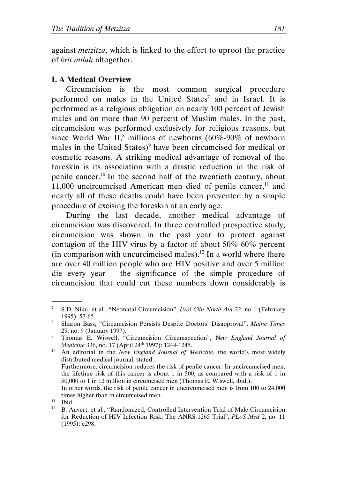against metzitza, which is linked to the effort to uproot the practice of brit milah altogether.

# I. A Medical Overview

Circumcision is the most common surgical procedure performed on males in the United States<sup>7</sup> and in Israel. It is performed as a religious obligation on nearly 100 percent of Jewish males and on more than 90 percent of Muslim males. In the past, circumcision was performed exclusively for religious reasons, but since World War II,<sup>8</sup> millions of newborns (60%-90% of newborn males in the United States)<sup>9</sup> have been circumcised for medical or cosmetic reasons. A striking medical advantage of removal of the foreskin is its association with a drastic reduction in the risk of penile cancer.<sup>10</sup> In the second half of the twentieth century, about 11,000 uncircumcised American men died of penile cancer, $11$  and nearly all of these deaths could have been prevented by a simple procedure of excising the foreskin at an early age.

During the last decade, another medical advantage of circumcision was discovered. In three controlled prospective study, circumcision was shown in the past year to protect against contagion of the HIV virus by a factor of about 50%-60% percent (in comparison with uncurcimcised males).<sup>12</sup> In a world where there are over 40 million people who are HIV positive and over 5 million die every year – the significance of the simple procedure of circumcision that could cut these numbers down considerably is

<sup>7</sup> S.D. Niku, et al., "Neonatal Circumcision", Urol Clin North Am 22, no 1 (February 1995): 57-65.

<sup>&</sup>lt;sup>8</sup> Sharon Bass, "Circumcision Persists Despite Doctors' Disapproval", Maine Times 29, no. 9 (January 1997).

<sup>&</sup>lt;sup>9</sup> Thomas E. Wiswell, "Circumcision Circumspection", New England Journal of Medicine 336, no. 17 (April 24<sup>th</sup> 1997): 1244-1245.

 $10$  An editorial in the New England Journal of Medicine, the world's most widely distributed medical journal, stated: Furthermore, circumcision reduces the risk of penile cancer. In uncircumcised men, the lifetime risk of this cancer is about 1 in 500, as compared with a risk of 1 in 50,000 to 1 in 12 million in circumcised men (Thomas E. Wiswell, ibid.). In other words, the risk of penile cancer in uncircumcised men is from 100 to 24,000 times higher than in circumcised men.

<sup>&</sup>lt;sup>11</sup> Ibid.<br><sup>12</sup> **B**  $\Delta$ <sup>1</sup>

<sup>12</sup> B. Auvert, et al., "Randomized, Controlled Intervention Trial of Male Circumcision for Reduction of HIV Infection Risk: The ANRS 1265 Trial", PLoS Med 2, no. 11 (1995): e298.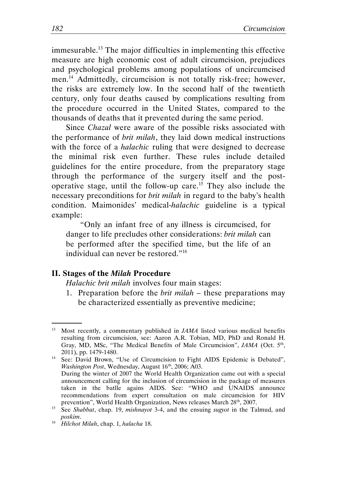immesurable.<sup>13</sup> The major difficulties in implementing this effective measure are high economic cost of adult circumcision, prejudices and psychological problems among populations of uncircumcised men.<sup>14</sup> Admittedly, circumcision is not totally risk-free; however, the risks are extremely low. In the second half of the twentieth century, only four deaths caused by complications resulting from the procedure occurred in the United States, compared to the thousands of deaths that it prevented during the same period.

Since Chazal were aware of the possible risks associated with the performance of brit milah, they laid down medical instructions with the force of a *halachic* ruling that were designed to decrease the minimal risk even further. These rules include detailed guidelines for the entire procedure, from the preparatory stage through the performance of the surgery itself and the postoperative stage, until the follow-up care.<sup>15</sup> They also include the necessary preconditions for *brit milah* in regard to the baby's health condition. Maimonides' medical-halachic guideline is a typical example:

"Only an infant free of any illness is circumcised, for danger to life precludes other considerations: brit milah can be performed after the specified time, but the life of an individual can never be restored."<sup>16</sup>

#### II. Stages of the Milah Procedure

.

Halachic brit milah involves four main stages:

1. Preparation before the *brit milah*  $-$  these preparations may be characterized essentially as preventive medicine;

 $13$  Most recently, a commentary published in  $JAMA$  listed various medical benefits resulting from circumcision, see: Aaron A.R. Tobian, MD, PhD and Ronald H. Gray, MD, MSc, "The Medical Benefits of Male Circumcision", JAMA (Oct. 5<sup>th</sup>, 2011), pp. 1479-1480.

<sup>14</sup> See: David Brown, "Use of Circumcision to Fight AIDS Epidemic is Debated", *Washington Post*, Wednesday, August  $16<sup>th</sup>$ , 2006; A03. During the winter of 2007 the World Health Organization came out with a special announcement calling for the inclusion of circumcision in the package of measures taken in the batlle agains AIDS. See: "WHO and UNAIDS announce recommendations from expert consultation on male circumcision for HIV prevention", World Health Organization, News releases March 28<sup>th</sup>, 2007.

<sup>&</sup>lt;sup>15</sup> See Shabbat, chap. 19, mishnayot 3-4, and the ensuing sugyot in the Talmud, and poskim.

<sup>&</sup>lt;sup>16</sup> Hilchot Milah, chap. 1, halacha 18.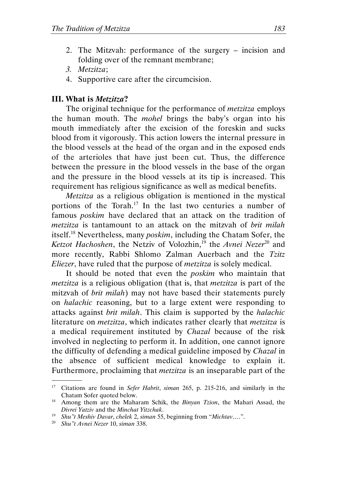- 2. The Mitzvah: performance of the surgery incision and folding over of the remnant membrane;
- 3. Metzitza;
- 4. Supportive care after the circumcision.

# III. What is Metzitza?

The original technique for the performance of *metzitza* employs the human mouth. The mohel brings the baby's organ into his mouth immediately after the excision of the foreskin and sucks blood from it vigorously. This action lowers the internal pressure in the blood vessels at the head of the organ and in the exposed ends of the arterioles that have just been cut. Thus, the difference between the pressure in the blood vessels in the base of the organ and the pressure in the blood vessels at its tip is increased. This requirement has religious significance as well as medical benefits.

Metzitza as a religious obligation is mentioned in the mystical portions of the Torah.<sup>17</sup> In the last two centuries a number of famous poskim have declared that an attack on the tradition of metzitza is tantamount to an attack on the mitzvah of brit milah itself.<sup>18</sup> Nevertheless, many poskim, including the Chatam Sofer, the Ketzot Hachoshen, the Netziv of Volozhin,<sup>19</sup> the Avnei Nezer<sup>20</sup> and more recently, Rabbi Shlomo Zalman Auerbach and the Tzitz Eliezer, have ruled that the purpose of *metzitza* is solely medical.

It should be noted that even the poskim who maintain that metzitza is a religious obligation (that is, that metzitza is part of the mitzvah of *brit milah*) may not have based their statements purely on halachic reasoning, but to a large extent were responding to attacks against brit milah. This claim is supported by the halachic literature on *metzitza*, which indicates rather clearly that *metzitza* is a medical requirement instituted by Chazal because of the risk involved in neglecting to perform it. In addition, one cannot ignore the difficulty of defending a medical guideline imposed by Chazal in the absence of sufficient medical knowledge to explain it. Furthermore, proclaiming that metzitza is an inseparable part of the .

<sup>&</sup>lt;sup>17</sup> Citations are found in Sefer Habrit, siman 265, p. 215-216, and similarly in the Chatam Sofer quoted below.

<sup>&</sup>lt;sup>18</sup> Among them are the Maharam Schik, the *Binyan Tzion*, the Mahari Assad, the Divrei Yatziv and the Minchat Yitzchak.

<sup>&</sup>lt;sup>19</sup> Shu"t Meshiv Davar, chelek 2, siman 55, beginning from "Michtav....".

<sup>&</sup>lt;sup>20</sup> Shu"t Avnei Nezer 10, siman 338.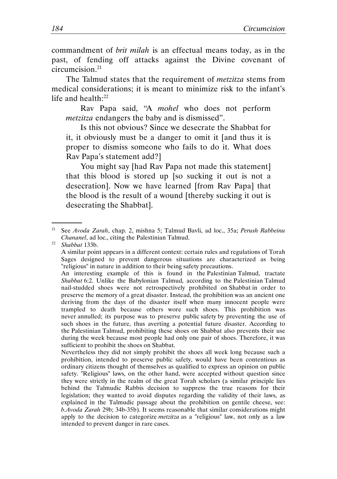commandment of brit milah is an effectual means today, as in the past, of fending off attacks against the Divine covenant of circumcision.<sup>21</sup>

The Talmud states that the requirement of metzitza stems from medical considerations; it is meant to minimize risk to the infant's life and health:<sup>22</sup>

Rav Papa said, "A mohel who does not perform metzitza endangers the baby and is dismissed".

Is this not obvious? Since we desecrate the Shabbat for it, it obviously must be a danger to omit it [and thus it is proper to dismiss someone who fails to do it. What does Rav Papa's statement add?]

You might say [had Rav Papa not made this statement] that this blood is stored up [so sucking it out is not a desecration]. Now we have learned [from Rav Papa] that the blood is the result of a wound [thereby sucking it out is desecrating the Shabbat].

 $22$  Shabbat 133b.

.

 A similar point appears in a different context: certain rules and regulations of Torah Sages designed to prevent dangerous situations are characterized as being "religious" in nature in addition to their being safety precautions.

 An interesting example of this is found in the Palestinian Talmud, tractate Shabbat 6:2. Unlike the Babylonian Talmud, according to the Palestinian Talmud nail-studded shoes were not retrospectively prohibited on Shabbat in order to preserve the memory of a great disaster. Instead, the prohibition was an ancient one deriving from the days of the disaster itself when many innocent people were trampled to death because others wore such shoes. This prohibition was never annulled; its purpose was to preserve public safety by preventing the use of such shoes in the future, thus averting a potential future disaster. According to the Palestinian Talmud, prohibiting these shoes on Shabbat also prevents their use during the week because most people had only one pair of shoes. Therefore, it was sufficient to prohibit the shoes on Shabbat.

 Nevertheless they did not simply prohibit the shoes all week long because such a prohibition, intended to preserve public safety, would have been contentious as ordinary citizens thought of themselves as qualified to express an opinion on public safety. "Religious" laws, on the other hand, were accepted without question since they were strictly in the realm of the great Torah scholars (a similar principle lies behind the Talmudic Rabbis decision to suppress the true reasons for their legislation; they wanted to avoid disputes regarding the validity of their laws, as explained in the Talmudic passage about the prohibition on gentile cheese, see: b.Avoda Zarah 29b; 34b-35b). It seems reasonable that similar considerations might apply to the decision to categorize *metzitza* as a "religious" law, not only as a law intended to prevent danger in rare cases.

<sup>&</sup>lt;sup>21</sup> See Avoda Zarah, chap. 2, mishna 5; Talmud Bavli, ad loc., 35a; Perush Rabbeinu Chananel, ad loc., citing the Palestinian Talmud.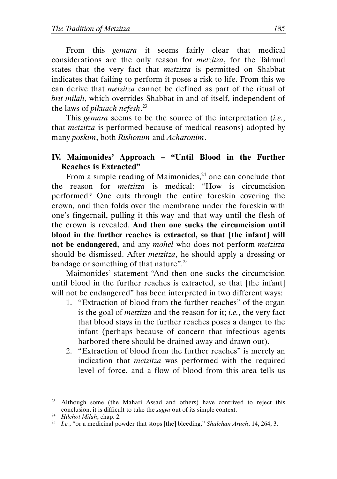From this *gemara* it seems fairly clear that medical considerations are the only reason for metzitza, for the Talmud states that the very fact that *metzitza* is permitted on Shabbat indicates that failing to perform it poses a risk to life. From this we can derive that metzitza cannot be defined as part of the ritual of brit milah, which overrides Shabbat in and of itself, independent of the laws of *pikuach nefesh*.<sup>23</sup>

This *gemara* seems to be the source of the interpretation *(i.e.,* that metzitza is performed because of medical reasons) adopted by many poskim, both Rishonim and Acharonim.

# IV. Maimonides' Approach – "Until Blood in the Further Reaches is Extracted"

From a simple reading of Maimonides, $24$  one can conclude that the reason for metzitza is medical: "How is circumcision performed? One cuts through the entire foreskin covering the crown, and then folds over the membrane under the foreskin with one's fingernail, pulling it this way and that way until the flesh of the crown is revealed. And then one sucks the circumcision until blood in the further reaches is extracted, so that [the infant] will not be endangered, and any *mohel* who does not perform *metzitza* should be dismissed. After *metzitza*, he should apply a dressing or bandage or something of that nature".<sup>25</sup>

Maimonides' statement "And then one sucks the circumcision until blood in the further reaches is extracted, so that [the infant] will not be endangered" has been interpreted in two different ways:

- 1. "Extraction of blood from the further reaches" of the organ is the goal of metzitza and the reason for it; i.e., the very fact that blood stays in the further reaches poses a danger to the infant (perhaps because of concern that infectious agents harbored there should be drained away and drawn out).
- 2. "Extraction of blood from the further reaches" is merely an indication that metzitza was performed with the required level of force, and a flow of blood from this area tells us

<sup>&</sup>lt;sup>23</sup> Although some (the Mahari Assad and others) have contrived to reject this conclusion, it is difficult to take the sugya out of its simple context.

<sup>&</sup>lt;sup>24</sup> Hilchot Milah, chap. 2.

<sup>&</sup>lt;sup>25</sup> I.e., "or a medicinal powder that stops [the] bleeding," Shulchan Aruch, 14, 264, 3.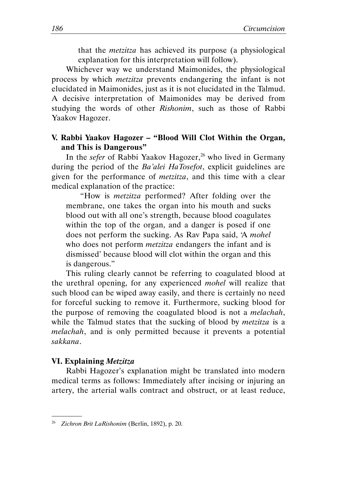that the metzitza has achieved its purpose (a physiological explanation for this interpretation will follow).

Whichever way we understand Maimonides, the physiological process by which metzitza prevents endangering the infant is not elucidated in Maimonides, just as it is not elucidated in the Talmud. A decisive interpretation of Maimonides may be derived from studying the words of other Rishonim, such as those of Rabbi Yaakov Hagozer.

# V. Rabbi Yaakov Hagozer – "Blood Will Clot Within the Organ, and This is Dangerous"

In the sefer of Rabbi Yaakov Hagozer,<sup>26</sup> who lived in Germany during the period of the Ba'alei HaTosefot, explicit guidelines are given for the performance of metzitza, and this time with a clear medical explanation of the practice:

"How is metzitza performed? After folding over the membrane, one takes the organ into his mouth and sucks blood out with all one's strength, because blood coagulates within the top of the organ, and a danger is posed if one does not perform the sucking. As Rav Papa said, 'A mohel who does not perform *metzitza* endangers the infant and is dismissed' because blood will clot within the organ and this is dangerous."

This ruling clearly cannot be referring to coagulated blood at the urethral opening, for any experienced mohel will realize that such blood can be wiped away easily, and there is certainly no need for forceful sucking to remove it. Furthermore, sucking blood for the purpose of removing the coagulated blood is not a melachah, while the Talmud states that the sucking of blood by *metzitza* is a melachah, and is only permitted because it prevents a potential sakkana.

# VI. Explaining Metzitza

.

Rabbi Hagozer's explanation might be translated into modern medical terms as follows: Immediately after incising or injuring an artery, the arterial walls contract and obstruct, or at least reduce,

<sup>&</sup>lt;sup>26</sup> Zichron Brit LaRishonim (Berlin, 1892), p. 20.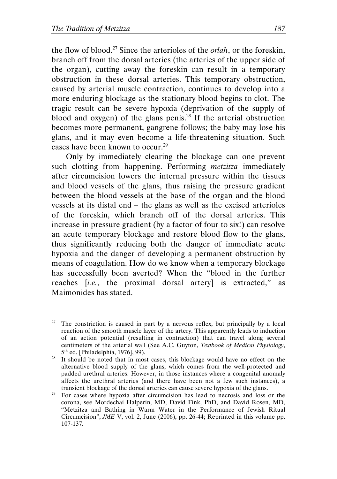.

the flow of blood.<sup>27</sup> Since the arterioles of the *orlah*, or the foreskin, branch off from the dorsal arteries (the arteries of the upper side of the organ), cutting away the foreskin can result in a temporary obstruction in these dorsal arteries. This temporary obstruction, caused by arterial muscle contraction, continues to develop into a more enduring blockage as the stationary blood begins to clot. The tragic result can be severe hypoxia (deprivation of the supply of blood and oxygen) of the glans penis.<sup>28</sup> If the arterial obstruction becomes more permanent, gangrene follows; the baby may lose his glans, and it may even become a life-threatening situation. Such cases have been known to occur.<sup>29</sup>

Only by immediately clearing the blockage can one prevent such clotting from happening. Performing *metzitza* immediately after circumcision lowers the internal pressure within the tissues and blood vessels of the glans, thus raising the pressure gradient between the blood vessels at the base of the organ and the blood vessels at its distal end – the glans as well as the excised arterioles of the foreskin, which branch off of the dorsal arteries. This increase in pressure gradient (by a factor of four to six!) can resolve an acute temporary blockage and restore blood flow to the glans, thus significantly reducing both the danger of immediate acute hypoxia and the danger of developing a permanent obstruction by means of coagulation. How do we know when a temporary blockage has successfully been averted? When the "blood in the further reaches [i.e., the proximal dorsal artery] is extracted," as Maimonides has stated.

 $27$  The constriction is caused in part by a nervous reflex, but principally by a local reaction of the smooth muscle layer of the artery. This apparently leads to induction of an action potential (resulting in contraction) that can travel along several centimeters of the arterial wall (See A.C. Guyton, Textbook of Medical Physiology, 5 th ed. [Philadelphia, 1976], 99).

It should be noted that in most cases, this blockage would have no effect on the alternative blood supply of the glans, which comes from the well-protected and padded urethral arteries. However, in those instances where a congenital anomaly affects the urethral arteries (and there have been not a few such instances), a transient blockage of the dorsal arteries can cause severe hypoxia of the glans.

<sup>&</sup>lt;sup>29</sup> For cases where hypoxia after circumcision has lead to necrosis and loss or the corona, see Mordechai Halperin, MD, David Fink, PhD, and David Rosen, MD, "Metzitza and Bathing in Warm Water in the Performance of Jewish Ritual Circumcision", JME V, vol. 2, June (2006), pp. 26-44; Reprinted in this volume pp. 107-137.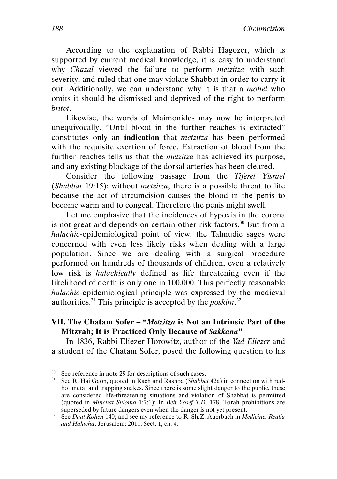According to the explanation of Rabbi Hagozer, which is supported by current medical knowledge, it is easy to understand why *Chazal* viewed the failure to perform *metzitza* with such severity, and ruled that one may violate Shabbat in order to carry it out. Additionally, we can understand why it is that a mohel who omits it should be dismissed and deprived of the right to perform britot.

Likewise, the words of Maimonides may now be interpreted unequivocally. "Until blood in the further reaches is extracted" constitutes only an indication that metzitza has been performed with the requisite exertion of force. Extraction of blood from the further reaches tells us that the *metzitza* has achieved its purpose, and any existing blockage of the dorsal arteries has been cleared.

Consider the following passage from the Tiferet Yisrael (Shabbat 19:15): without *metzitza*, there is a possible threat to life because the act of circumcision causes the blood in the penis to become warm and to congeal. Therefore the penis might swell.

Let me emphasize that the incidences of hypoxia in the corona is not great and depends on certain other risk factors.<sup>30</sup> But from a halachic-epidemiological point of view, the Talmudic sages were concerned with even less likely risks when dealing with a large population. Since we are dealing with a surgical procedure performed on hundreds of thousands of children, even a relatively low risk is *halachically* defined as life threatening even if the likelihood of death is only one in 100,000. This perfectly reasonable halachic-epidemiological principle was expressed by the medieval authorities.<sup>31</sup> This principle is accepted by the *poskim*.<sup>32</sup>

# VII. The Chatam Sofer – "*Metzitza* is Not an Intrinsic Part of the Mitzvah; It is Practiced Only Because of Sakkana"

In 1836, Rabbi Eliezer Horowitz, author of the Yad Eliezer and a student of the Chatam Sofer, posed the following question to his

<sup>&</sup>lt;sup>30</sup> See reference in note 29 for descriptions of such cases.<br><sup>31</sup> See R. Haj Gaon, quoted in Rach and Rashba (Shabba

See R. Hai Gaon, quoted in Rach and Rashba (Shabbat 42a) in connection with redhot metal and trapping snakes. Since there is some slight danger to the public, these are considered life-threatening situations and violation of Shabbat is permitted (quoted in Minchat Shlomo 1:7:1); In Beit Yosef Y.D. 178, Torah prohibitions are superseded by future dangers even when the danger is not yet present.

 $32$  See Daat Kohen 140; and see my reference to R. Sh.Z. Auerbach in Medicine. Realia and Halacha, Jerusalem: 2011, Sect. 1, ch. 4.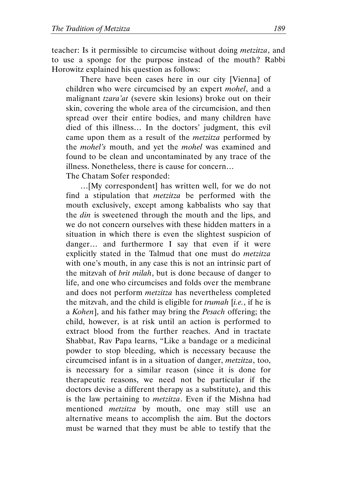teacher: Is it permissible to circumcise without doing metzitza, and to use a sponge for the purpose instead of the mouth? Rabbi Horowitz explained his question as follows:

There have been cases here in our city [Vienna] of children who were circumcised by an expert mohel, and a malignant tzara'at (severe skin lesions) broke out on their skin, covering the whole area of the circumcision, and then spread over their entire bodies, and many children have died of this illness… In the doctors' judgment, this evil came upon them as a result of the metzitza performed by the mohel's mouth, and yet the mohel was examined and found to be clean and uncontaminated by any trace of the illness. Nonetheless, there is cause for concern… The Chatam Sofer responded:

…[My correspondent] has written well, for we do not find a stipulation that metzitza be performed with the mouth exclusively, except among kabbalists who say that the *din* is sweetened through the mouth and the lips, and we do not concern ourselves with these hidden matters in a situation in which there is even the slightest suspicion of danger… and furthermore I say that even if it were explicitly stated in the Talmud that one must do metzitza with one's mouth, in any case this is not an intrinsic part of the mitzvah of brit milah, but is done because of danger to life, and one who circumcises and folds over the membrane and does not perform metzitza has nevertheless completed the mitzvah, and the child is eligible for trumah [i.e., if he is a Kohen], and his father may bring the Pesach offering; the child, however, is at risk until an action is performed to extract blood from the further reaches. And in tractate Shabbat, Rav Papa learns, "Like a bandage or a medicinal powder to stop bleeding, which is necessary because the circumcised infant is in a situation of danger, metzitza, too, is necessary for a similar reason (since it is done for therapeutic reasons, we need not be particular if the doctors devise a different therapy as a substitute), and this is the law pertaining to metzitza. Even if the Mishna had mentioned *metzitza* by mouth, one may still use an alternative means to accomplish the aim. But the doctors must be warned that they must be able to testify that the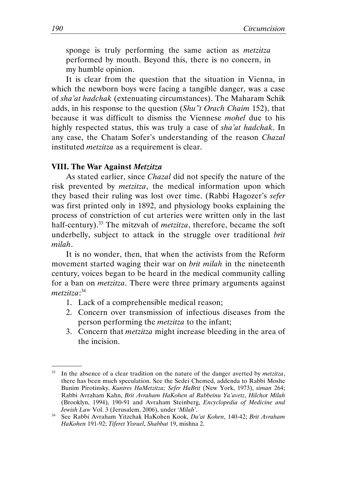sponge is truly performing the same action as *metzitza* performed by mouth. Beyond this, there is no concern, in my humble opinion.

It is clear from the question that the situation in Vienna, in which the newborn boys were facing a tangible danger, was a case of sha'at hadchak (extenuating circumstances). The Maharam Schik adds, in his response to the question (Shu"t Orach Chaim 152), that because it was difficult to dismiss the Viennese mohel due to his highly respected status, this was truly a case of sha'at hadchak. In any case, the Chatam Sofer's understanding of the reason Chazal instituted metzitza as a requirement is clear.

#### VIII. The War Against Metzitza

As stated earlier, since Chazal did not specify the nature of the risk prevented by *metzitza*, the medical information upon which they based their ruling was lost over time. (Rabbi Hagozer's sefer was first printed only in 1892, and physiology books explaining the process of constriction of cut arteries were written only in the last half-century).<sup>33</sup> The mitzvah of *metzitza*, therefore, became the soft underbelly, subject to attack in the struggle over traditional brit milah.

It is no wonder, then, that when the activists from the Reform movement started waging their war on *brit milah* in the nineteenth century, voices began to be heard in the medical community calling for a ban on *metzitza*. There were three primary arguments against metzitza: 34

- 1. Lack of a comprehensible medical reason;
- 2. Concern over transmission of infectious diseases from the person performing the metzitza to the infant;
- 3. Concern that metzitza might increase bleeding in the area of the incision.

 $33$  In the absence of a clear tradition on the nature of the danger averted by *metzitza*, there has been much speculation. See the Sedei Chemed, addenda to Rabbi Moshe Bunim Pirotinsky, Kuntres HaMetzitza; Sefer HaBrit (New York, 1973), siman 264; Rabbi Avraham Kahn, Brit Avraham HaKohen al Rabbeinu Ya'avetz, Hilchot Milah (Brooklyn, 1994), 190-91 and Avraham Steinberg, Encyclopedia of Medicine and Jewish Law Vol. 3 (Jerusalem, 2006), under 'Milah'.

<sup>34</sup> See Rabbi Avraham Yitzchak HaKohen Kook, Da'at Kohen, 140-42; Brit Avraham HaKohen 191-92; Tiferet Yisrael, Shabbat 19, mishna 2.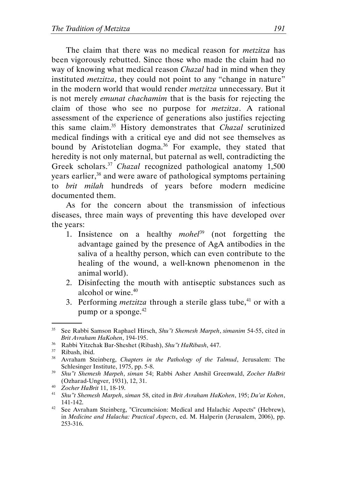The claim that there was no medical reason for *metzitza* has been vigorously rebutted. Since those who made the claim had no way of knowing what medical reason *Chazal* had in mind when they instituted *metzitza*, they could not point to any "change in nature" in the modern world that would render metzitza unnecessary. But it is not merely emunat chachamim that is the basis for rejecting the claim of those who see no purpose for metzitza. A rational assessment of the experience of generations also justifies rejecting this same claim.<sup>35</sup> History demonstrates that *Chazal* scrutinized medical findings with a critical eye and did not see themselves as bound by Aristotelian dogma.<sup>36</sup> For example, they stated that heredity is not only maternal, but paternal as well, contradicting the Greek scholars.<sup>37</sup> Chazal recognized pathological anatomy  $1,500$ years earlier,<sup>38</sup> and were aware of pathological symptoms pertaining to brit milah hundreds of years before modern medicine documented them.

As for the concern about the transmission of infectious diseases, three main ways of preventing this have developed over the years:

- 1. Insistence on a healthy *mohel*<sup>39</sup> (not forgetting the advantage gained by the presence of AgA antibodies in the saliva of a healthy person, which can even contribute to the healing of the wound, a well-known phenomenon in the animal world).
- 2. Disinfecting the mouth with antiseptic substances such as alcohol or wine.<sup>40</sup>
- 3. Performing *metzitza* through a sterile glass tube,<sup>41</sup> or with a pump or a sponge.<sup>42</sup>

<sup>&</sup>lt;sup>35</sup> See Rabbi Samson Raphael Hirsch, Shu"t Shemesh Marpeh, simanim 54-55, cited in Brit Avraham HaKohen, 194-195.

<sup>36</sup> Rabbi Yitzchak Bar-Sheshet (Ribash), Shu"t HaRibash, 447.

 $37$  Ribash, ibid.<br> $38$  Avraham St.

Avraham Steinberg, Chapters in the Pathology of the Talmud, Jerusalem: The Schlesinger Institute, 1975, pp. 5-8.

<sup>39</sup> Shu"t Shemesh Marpeh, siman 54; Rabbi Asher Anshil Greenwald, Zocher HaBrit (Ozharad-Ungver, 1931), 12, 31.

<sup>40</sup> Zocher HaBrit 11, 18-19.

<sup>&</sup>lt;sup>41</sup> Shu"t Shemesh Marpeh, siman 58, cited in Brit Avraham HaKohen, 195; Da'at Kohen, 141-142.

<sup>&</sup>lt;sup>42</sup> See Avraham Steinberg, "Circumcision: Medical and Halachic Aspects" (Hebrew), in Medicine and Halacha: Practical Aspects, ed. M. Halperin (Jerusalem, 2006), pp. 253-316.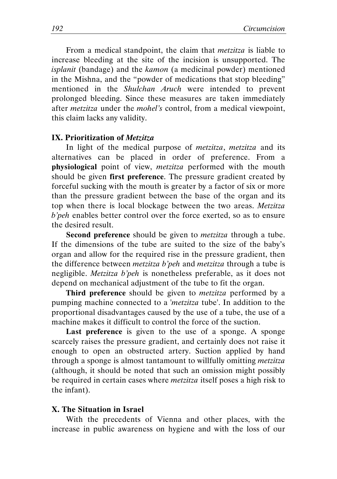From a medical standpoint, the claim that *metzitza* is liable to increase bleeding at the site of the incision is unsupported. The isplanit (bandage) and the kamon (a medicinal powder) mentioned in the Mishna, and the "powder of medications that stop bleeding" mentioned in the Shulchan Aruch were intended to prevent prolonged bleeding. Since these measures are taken immediately after metzitza under the mohel's control, from a medical viewpoint, this claim lacks any validity.

#### IX. Prioritization of Metzitza

In light of the medical purpose of *metzitza*, *metzitza* and its alternatives can be placed in order of preference. From a physiological point of view, *metzitza* performed with the mouth should be given first preference. The pressure gradient created by forceful sucking with the mouth is greater by a factor of six or more than the pressure gradient between the base of the organ and its top when there is local blockage between the two areas. Metzitza b'peh enables better control over the force exerted, so as to ensure the desired result.

Second preference should be given to *metzitza* through a tube. If the dimensions of the tube are suited to the size of the baby's organ and allow for the required rise in the pressure gradient, then the difference between *metzitza b'peh* and *metzitza* through a tube is negligible. Metzitza b'peh is nonetheless preferable, as it does not depend on mechanical adjustment of the tube to fit the organ.

Third preference should be given to *metzitza* performed by a pumping machine connected to a 'metzitza tube'. In addition to the proportional disadvantages caused by the use of a tube, the use of a machine makes it difficult to control the force of the suction.

Last preference is given to the use of a sponge. A sponge scarcely raises the pressure gradient, and certainly does not raise it enough to open an obstructed artery. Suction applied by hand through a sponge is almost tantamount to willfully omitting metzitza (although, it should be noted that such an omission might possibly be required in certain cases where *metzitza* itself poses a high risk to the infant).

#### X. The Situation in Israel

With the precedents of Vienna and other places, with the increase in public awareness on hygiene and with the loss of our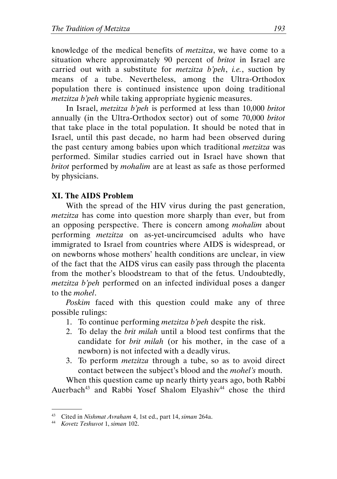knowledge of the medical benefits of metzitza, we have come to a situation where approximately 90 percent of *britot* in Israel are carried out with a substitute for metzitza b'peh, i.e., suction by means of a tube. Nevertheless, among the Ultra-Orthodox population there is continued insistence upon doing traditional metzitza b'peh while taking appropriate hygienic measures.

In Israel, metzitza b'peh is performed at less than 10,000 britot annually (in the Ultra-Orthodox sector) out of some 70,000 britot that take place in the total population. It should be noted that in Israel, until this past decade, no harm had been observed during the past century among babies upon which traditional metzitza was performed. Similar studies carried out in Israel have shown that britot performed by *mohalim* are at least as safe as those performed by physicians.

#### XI. The AIDS Problem

With the spread of the HIV virus during the past generation, metzitza has come into question more sharply than ever, but from an opposing perspective. There is concern among mohalim about performing metzitza on as-yet-uncircumcised adults who have immigrated to Israel from countries where AIDS is widespread, or on newborns whose mothers' health conditions are unclear, in view of the fact that the AIDS virus can easily pass through the placenta from the mother's bloodstream to that of the fetus. Undoubtedly, metzitza b'peh performed on an infected individual poses a danger to the mohel.

Poskim faced with this question could make any of three possible rulings:

- 1. To continue performing metzitza b'peh despite the risk.
- 2. To delay the brit milah until a blood test confirms that the candidate for brit milah (or his mother, in the case of a newborn) is not infected with a deadly virus.
- 3. To perform metzitza through a tube, so as to avoid direct contact between the subject's blood and the mohel's mouth.

When this question came up nearly thirty years ago, both Rabbi Auerbach<sup>43</sup> and Rabbi Yosef Shalom Elyashiv<sup>44</sup> chose the third

<sup>&</sup>lt;sup>43</sup> Cited in Nishmat Avraham 4, 1st ed., part 14, siman 264a.

<sup>44</sup> Kovetz Teshuvot 1, siman 102.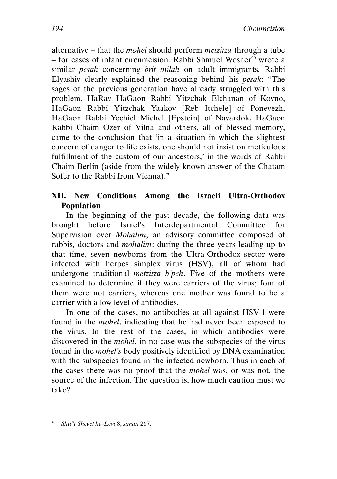alternative – that the *mohel* should perform *metzitza* through a tube  $-$  for cases of infant circumcision. Rabbi Shmuel Wosner<sup>45</sup> wrote a similar *pesak* concerning *brit milah* on adult immigrants. Rabbi Elyashiv clearly explained the reasoning behind his pesak: "The sages of the previous generation have already struggled with this problem. HaRav HaGaon Rabbi Yitzchak Elchanan of Kovno, HaGaon Rabbi Yitzchak Yaakov [Reb Itchele] of Ponevezh, HaGaon Rabbi Yechiel Michel [Epstein] of Navardok, HaGaon Rabbi Chaim Ozer of Vilna and others, all of blessed memory, came to the conclusion that 'in a situation in which the slightest concern of danger to life exists, one should not insist on meticulous fulfillment of the custom of our ancestors,' in the words of Rabbi Chaim Berlin (aside from the widely known answer of the Chatam Sofer to the Rabbi from Vienna)."

# XII. New Conditions Among the Israeli Ultra-Orthodox Population

In the beginning of the past decade, the following data was brought before Israel's Interdepartmental Committee for Supervision over *Mohalim*, an advisory committee composed of rabbis, doctors and *mohalim*: during the three years leading up to that time, seven newborns from the Ultra-Orthodox sector were infected with herpes simplex virus (HSV), all of whom had undergone traditional *metzitza b'peh*. Five of the mothers were examined to determine if they were carriers of the virus; four of them were not carriers, whereas one mother was found to be a carrier with a low level of antibodies.

In one of the cases, no antibodies at all against HSV-1 were found in the mohel, indicating that he had never been exposed to the virus. In the rest of the cases, in which antibodies were discovered in the mohel, in no case was the subspecies of the virus found in the mohel's body positively identified by DNA examination with the subspecies found in the infected newborn. Thus in each of the cases there was no proof that the mohel was, or was not, the source of the infection. The question is, how much caution must we take?

<sup>45</sup> Shu"t Shevet ha-Levi 8, siman 267.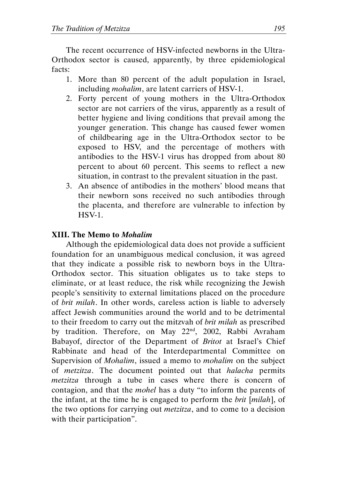The recent occurrence of HSV-infected newborns in the Ultra-Orthodox sector is caused, apparently, by three epidemiological facts:

- 1. More than 80 percent of the adult population in Israel, including mohalim, are latent carriers of HSV-1.
- 2. Forty percent of young mothers in the Ultra-Orthodox sector are not carriers of the virus, apparently as a result of better hygiene and living conditions that prevail among the younger generation. This change has caused fewer women of childbearing age in the Ultra-Orthodox sector to be exposed to HSV, and the percentage of mothers with antibodies to the HSV-1 virus has dropped from about 80 percent to about 60 percent. This seems to reflect a new situation, in contrast to the prevalent situation in the past.
- 3. An absence of antibodies in the mothers' blood means that their newborn sons received no such antibodies through the placenta, and therefore are vulnerable to infection by HSV-1.

# XIII. The Memo to Mohalim

Although the epidemiological data does not provide a sufficient foundation for an unambiguous medical conclusion, it was agreed that they indicate a possible risk to newborn boys in the Ultra-Orthodox sector. This situation obligates us to take steps to eliminate, or at least reduce, the risk while recognizing the Jewish people's sensitivity to external limitations placed on the procedure of brit milah. In other words, careless action is liable to adversely affect Jewish communities around the world and to be detrimental to their freedom to carry out the mitzvah of brit milah as prescribed by tradition. Therefore, on May 22<sup>nd</sup>, 2002, Rabbi Avraham Babayof, director of the Department of Britot at Israel's Chief Rabbinate and head of the Interdepartmental Committee on Supervision of Mohalim, issued a memo to mohalim on the subject of metzitza. The document pointed out that halacha permits metzitza through a tube in cases where there is concern of contagion, and that the mohel has a duty "to inform the parents of the infant, at the time he is engaged to perform the brit [milah], of the two options for carrying out metzitza, and to come to a decision with their participation".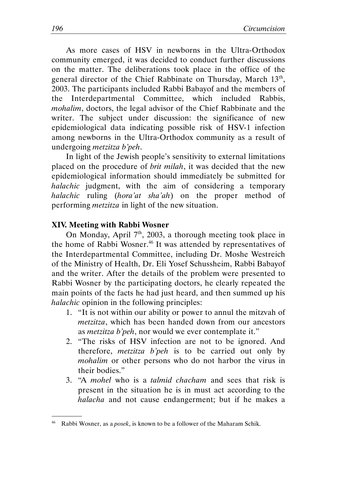As more cases of HSV in newborns in the Ultra-Orthodox community emerged, it was decided to conduct further discussions on the matter. The deliberations took place in the office of the general director of the Chief Rabbinate on Thursday, March 13<sup>th</sup>, 2003. The participants included Rabbi Babayof and the members of the Interdepartmental Committee, which included Rabbis, mohalim, doctors, the legal advisor of the Chief Rabbinate and the writer. The subject under discussion: the significance of new epidemiological data indicating possible risk of HSV-1 infection among newborns in the Ultra-Orthodox community as a result of undergoing metzitza b'peh.

In light of the Jewish people's sensitivity to external limitations placed on the procedure of brit milah, it was decided that the new epidemiological information should immediately be submitted for halachic judgment, with the aim of considering a temporary halachic ruling (hora'at sha'ah) on the proper method of performing metzitza in light of the new situation.

#### XIV. Meeting with Rabbi Wosner

.

On Monday, April 7<sup>th</sup>, 2003, a thorough meeting took place in the home of Rabbi Wosner.<sup>46</sup> It was attended by representatives of the Interdepartmental Committee, including Dr. Moshe Westreich of the Ministry of Health, Dr. Eli Yosef Schussheim, Rabbi Babayof and the writer. After the details of the problem were presented to Rabbi Wosner by the participating doctors, he clearly repeated the main points of the facts he had just heard, and then summed up his halachic opinion in the following principles:

- 1. "It is not within our ability or power to annul the mitzvah of metzitza, which has been handed down from our ancestors as metzitza b'peh, nor would we ever contemplate it."
- 2. "The risks of HSV infection are not to be ignored. And therefore, metzitza b'peh is to be carried out only by mohalim or other persons who do not harbor the virus in their bodies."
- 3. "A mohel who is a talmid chacham and sees that risk is present in the situation he is in must act according to the halacha and not cause endangerment; but if he makes a

<sup>&</sup>lt;sup>46</sup> Rabbi Wosner, as a *posek*, is known to be a follower of the Maharam Schik.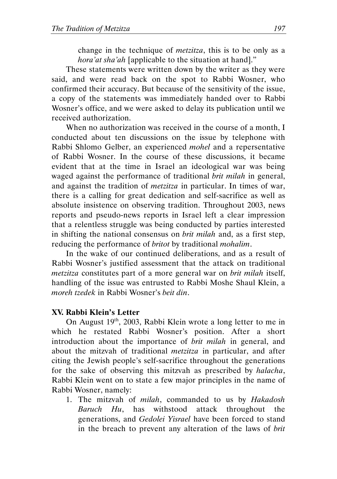change in the technique of metzitza, this is to be only as a hora'at sha'ah [applicable to the situation at hand]."

These statements were written down by the writer as they were said, and were read back on the spot to Rabbi Wosner, who confirmed their accuracy. But because of the sensitivity of the issue, a copy of the statements was immediately handed over to Rabbi Wosner's office, and we were asked to delay its publication until we received authorization.

When no authorization was received in the course of a month, I conducted about ten discussions on the issue by telephone with Rabbi Shlomo Gelber, an experienced mohel and a repersentative of Rabbi Wosner. In the course of these discussions, it became evident that at the time in Israel an ideological war was being waged against the performance of traditional *brit milah* in general, and against the tradition of metzitza in particular. In times of war, there is a calling for great dedication and self-sacrifice as well as absolute insistence on observing tradition. Throughout 2003, news reports and pseudo-news reports in Israel left a clear impression that a relentless struggle was being conducted by parties interested in shifting the national consensus on brit milah and, as a first step, reducing the performance of *britot* by traditional *mohalim*.

In the wake of our continued deliberations, and as a result of Rabbi Wosner's justified assessment that the attack on traditional metzitza constitutes part of a more general war on brit milah itself, handling of the issue was entrusted to Rabbi Moshe Shaul Klein, a moreh tzedek in Rabbi Wosner's beit din.

# XV. Rabbi Klein's Letter

On August 19<sup>th</sup>, 2003, Rabbi Klein wrote a long letter to me in which he restated Rabbi Wosner's position. After a short introduction about the importance of *brit milah* in general, and about the mitzvah of traditional *metzitza* in particular, and after citing the Jewish people's self-sacrifice throughout the generations for the sake of observing this mitzvah as prescribed by halacha, Rabbi Klein went on to state a few major principles in the name of Rabbi Wosner, namely:

1. The mitzvah of milah, commanded to us by Hakadosh Baruch Hu, has withstood attack throughout the generations, and Gedolei Yisrael have been forced to stand in the breach to prevent any alteration of the laws of brit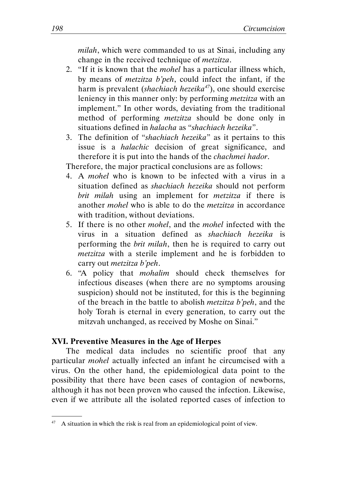milah, which were commanded to us at Sinai, including any change in the received technique of metzitza.

- 2. "If it is known that the mohel has a particular illness which, by means of metzitza b'peh, could infect the infant, if the harm is prevalent (shachiach hezeika<sup>47</sup>), one should exercise leniency in this manner only: by performing metzitza with an implement." In other words, deviating from the traditional method of performing metzitza should be done only in situations defined in halacha as "shachiach hezeika".
- 3. The definition of "shachiach hezeika" as it pertains to this issue is a halachic decision of great significance, and therefore it is put into the hands of the chachmei hador.

Therefore, the major practical conclusions are as follows:

- 4. A mohel who is known to be infected with a virus in a situation defined as *shachiach hezeika* should not perform brit milah using an implement for *metzitza* if there is another mohel who is able to do the metzitza in accordance with tradition, without deviations.
- 5. If there is no other mohel, and the mohel infected with the virus in a situation defined as shachiach hezeika is performing the brit milah, then he is required to carry out metzitza with a sterile implement and he is forbidden to carry out metzitza b'peh.
- 6. "A policy that mohalim should check themselves for infectious diseases (when there are no symptoms arousing suspicion) should not be instituted, for this is the beginning of the breach in the battle to abolish metzitza b'peh, and the holy Torah is eternal in every generation, to carry out the mitzvah unchanged, as received by Moshe on Sinai."

#### XVI. Preventive Measures in the Age of Herpes

.

The medical data includes no scientific proof that any particular mohel actually infected an infant he circumcised with a virus. On the other hand, the epidemiological data point to the possibility that there have been cases of contagion of newborns, although it has not been proven who caused the infection. Likewise, even if we attribute all the isolated reported cases of infection to

<sup>&</sup>lt;sup>47</sup> A situation in which the risk is real from an epidemiological point of view.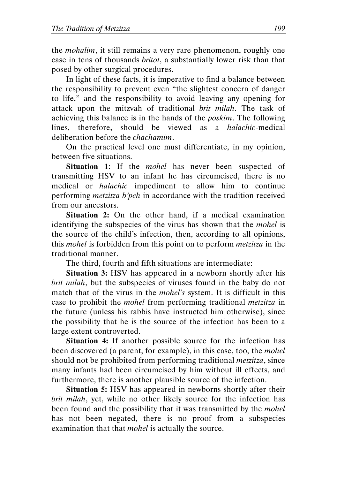the mohalim, it still remains a very rare phenomenon, roughly one case in tens of thousands britot, a substantially lower risk than that posed by other surgical procedures.

In light of these facts, it is imperative to find a balance between the responsibility to prevent even "the slightest concern of danger to life," and the responsibility to avoid leaving any opening for attack upon the mitzvah of traditional brit milah. The task of achieving this balance is in the hands of the poskim. The following lines, therefore, should be viewed as a halachic-medical deliberation before the chachamim.

On the practical level one must differentiate, in my opinion, between five situations.

Situation 1: If the *mohel* has never been suspected of transmitting HSV to an infant he has circumcised, there is no medical or halachic impediment to allow him to continue performing metzitza b'peh in accordance with the tradition received from our ancestors.

Situation 2: On the other hand, if a medical examination identifying the subspecies of the virus has shown that the mohel is the source of the child's infection, then, according to all opinions, this mohel is forbidden from this point on to perform metzitza in the traditional manner.

The third, fourth and fifth situations are intermediate:

Situation 3: HSV has appeared in a newborn shortly after his brit milah, but the subspecies of viruses found in the baby do not match that of the virus in the *mohel's* system. It is difficult in this case to prohibit the mohel from performing traditional metzitza in the future (unless his rabbis have instructed him otherwise), since the possibility that he is the source of the infection has been to a large extent controverted.

Situation 4: If another possible source for the infection has been discovered (a parent, for example), in this case, too, the *mohel* should not be prohibited from performing traditional metzitza, since many infants had been circumcised by him without ill effects, and furthermore, there is another plausible source of the infection.

Situation 5: HSV has appeared in newborns shortly after their brit milah, yet, while no other likely source for the infection has been found and the possibility that it was transmitted by the *mohel* has not been negated, there is no proof from a subspecies examination that that *mohel* is actually the source.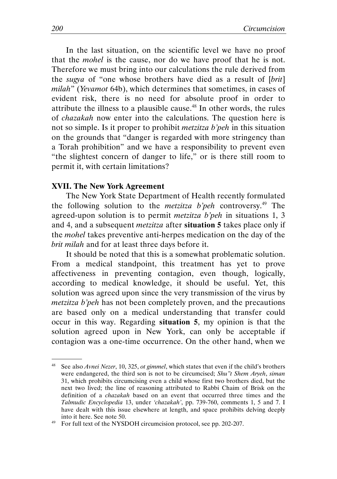In the last situation, on the scientific level we have no proof that the mohel is the cause, nor do we have proof that he is not. Therefore we must bring into our calculations the rule derived from the sugya of "one whose brothers have died as a result of [brit] milah" (Yevamot 64b), which determines that sometimes, in cases of evident risk, there is no need for absolute proof in order to attribute the illness to a plausible cause.<sup>48</sup> In other words, the rules of chazakah now enter into the calculations. The question here is not so simple. Is it proper to prohibit *metzitza b'peh* in this situation on the grounds that "danger is regarded with more stringency than a Torah prohibition" and we have a responsibility to prevent even "the slightest concern of danger to life," or is there still room to permit it, with certain limitations?

#### XVII. The New York Agreement

.

The New York State Department of Health recently formulated the following solution to the *metzitza b'peh* controversy.<sup>49</sup> The agreed-upon solution is to permit metzitza b'peh in situations 1, 3 and 4, and a subsequent metzitza after situation 5 takes place only if the mohel takes preventive anti-herpes medication on the day of the brit milah and for at least three days before it.

It should be noted that this is a somewhat problematic solution. From a medical standpoint, this treatment has yet to prove affectiveness in preventing contagion, even though, logically, according to medical knowledge, it should be useful. Yet, this solution was agreed upon since the very transmission of the virus by metzitza b'peh has not been completely proven, and the precautions are based only on a medical understanding that transfer could occur in this way. Regarding situation 5, my opinion is that the solution agreed upon in New York, can only be acceptable if contagion was a one-time occurrence. On the other hand, when we

<sup>&</sup>lt;sup>48</sup> See also *Avnei Nezer*, 10, 325, *ot gimmel*, which states that even if the child's brothers were endangered, the third son is not to be circumcised; Shu''t Shem Aryeh, siman 31, which prohibits circumcising even a child whose first two brothers died, but the next two lived; the line of reasoning attributed to Rabbi Chaim of Brisk on the definition of a chazakah based on an event that occurred three times and the Talmudic Encyclopedia 13, under 'chazakah', pp. 739-760, comments 1, 5 and 7. I have dealt with this issue elsewhere at length, and space prohibits delving deeply into it here. See note 50.

<sup>&</sup>lt;sup>49</sup> For full text of the NYSDOH circumcision protocol, see pp. 202-207.